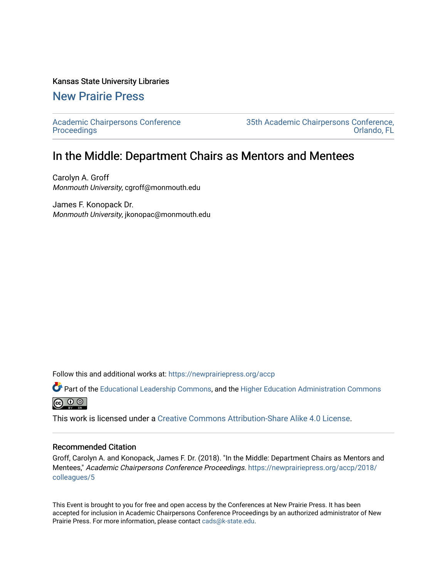#### Kansas State University Libraries

## [New Prairie Press](https://newprairiepress.org/)

[Academic Chairpersons Conference](https://newprairiepress.org/accp)  **Proceedings** 

[35th Academic Chairpersons Conference,](https://newprairiepress.org/accp/2018)  [Orlando, FL](https://newprairiepress.org/accp/2018) 

# In the Middle: Department Chairs as Mentors and Mentees

Carolyn A. Groff Monmouth University, cgroff@monmouth.edu

James F. Konopack Dr. Monmouth University, jkonopac@monmouth.edu

Follow this and additional works at: [https://newprairiepress.org/accp](https://newprairiepress.org/accp?utm_source=newprairiepress.org%2Faccp%2F2018%2Fcolleagues%2F5&utm_medium=PDF&utm_campaign=PDFCoverPages) 

Part of the [Educational Leadership Commons,](http://network.bepress.com/hgg/discipline/1230?utm_source=newprairiepress.org%2Faccp%2F2018%2Fcolleagues%2F5&utm_medium=PDF&utm_campaign=PDFCoverPages) and the [Higher Education Administration Commons](http://network.bepress.com/hgg/discipline/791?utm_source=newprairiepress.org%2Faccp%2F2018%2Fcolleagues%2F5&utm_medium=PDF&utm_campaign=PDFCoverPages) **@** ⊙ ⊚

This work is licensed under a [Creative Commons Attribution-Share Alike 4.0 License.](https://creativecommons.org/licenses/by-sa/4.0/)

#### Recommended Citation

Groff, Carolyn A. and Konopack, James F. Dr. (2018). "In the Middle: Department Chairs as Mentors and Mentees," Academic Chairpersons Conference Proceedings. [https://newprairiepress.org/accp/2018/](https://newprairiepress.org/accp/2018/colleagues/5) [colleagues/5](https://newprairiepress.org/accp/2018/colleagues/5) 

This Event is brought to you for free and open access by the Conferences at New Prairie Press. It has been accepted for inclusion in Academic Chairpersons Conference Proceedings by an authorized administrator of New Prairie Press. For more information, please contact [cads@k-state.edu.](mailto:cads@k-state.edu)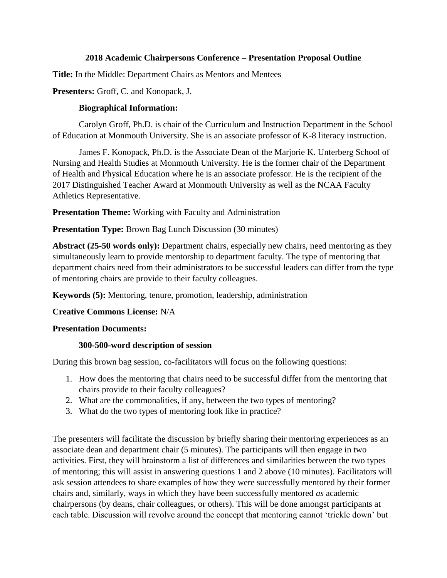#### **2018 Academic Chairpersons Conference – Presentation Proposal Outline**

**Title:** In the Middle: Department Chairs as Mentors and Mentees

## **Presenters:** Groff, C. and Konopack, J.

#### **Biographical Information:**

Carolyn Groff, Ph.D. is chair of the Curriculum and Instruction Department in the School of Education at Monmouth University. She is an associate professor of K-8 literacy instruction.

James F. Konopack, Ph.D. is the Associate Dean of the Marjorie K. Unterberg School of Nursing and Health Studies at Monmouth University. He is the former chair of the Department of Health and Physical Education where he is an associate professor. He is the recipient of the 2017 Distinguished Teacher Award at Monmouth University as well as the NCAA Faculty Athletics Representative.

**Presentation Theme:** Working with Faculty and Administration

## **Presentation Type:** Brown Bag Lunch Discussion (30 minutes)

**Abstract (25-50 words only):** Department chairs, especially new chairs, need mentoring as they simultaneously learn to provide mentorship to department faculty. The type of mentoring that department chairs need from their administrators to be successful leaders can differ from the type of mentoring chairs are provide to their faculty colleagues.

**Keywords (5):** Mentoring, tenure, promotion, leadership, administration

#### **Creative Commons License:** N/A

#### **Presentation Documents:**

#### **300-500-word description of session**

During this brown bag session, co-facilitators will focus on the following questions:

- 1. How does the mentoring that chairs need to be successful differ from the mentoring that chairs provide to their faculty colleagues?
- 2. What are the commonalities, if any, between the two types of mentoring?
- 3. What do the two types of mentoring look like in practice?

The presenters will facilitate the discussion by briefly sharing their mentoring experiences as an associate dean and department chair (5 minutes). The participants will then engage in two activities. First, they will brainstorm a list of differences and similarities between the two types of mentoring; this will assist in answering questions 1 and 2 above (10 minutes). Facilitators will ask session attendees to share examples of how they were successfully mentored by their former chairs and, similarly, ways in which they have been successfully mentored *as* academic chairpersons (by deans, chair colleagues, or others). This will be done amongst participants at each table. Discussion will revolve around the concept that mentoring cannot 'trickle down' but